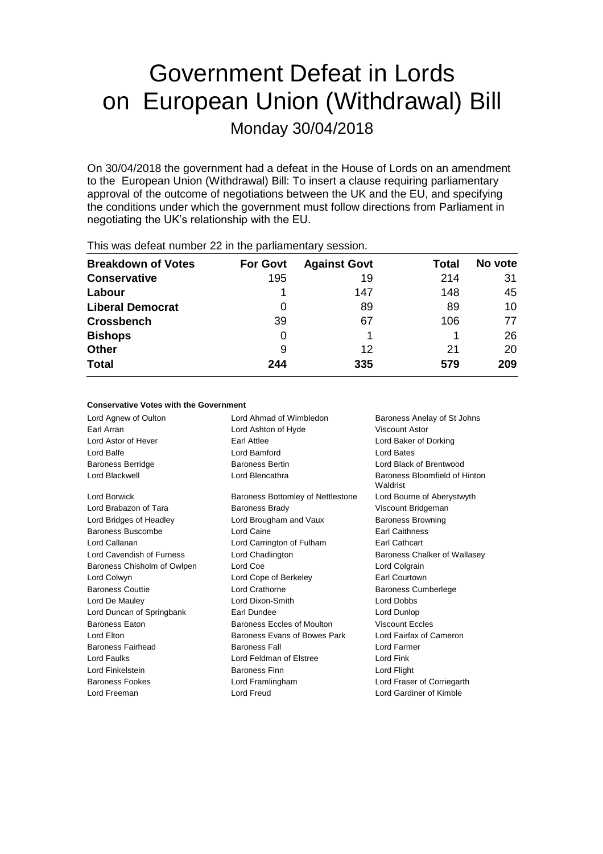# Government Defeat in Lords on European Union (Withdrawal) Bill Monday 30/04/2018

On 30/04/2018 the government had a defeat in the House of Lords on an amendment to the European Union (Withdrawal) Bill: To insert a clause requiring parliamentary approval of the outcome of negotiations between the UK and the EU, and specifying the conditions under which the government must follow directions from Parliament in negotiating the UK's relationship with the EU.

| <b>Breakdown of Votes</b> | <b>For Govt</b> | <b>Against Govt</b> | Total | No vote |  |
|---------------------------|-----------------|---------------------|-------|---------|--|
| <b>Conservative</b>       | 195             | 19                  | 214   | 31      |  |
| Labour                    |                 | 147                 | 148   | 45      |  |
| <b>Liberal Democrat</b>   | 0               | 89                  | 89    | 10      |  |
| <b>Crossbench</b>         | 39              | 67                  | 106   | 77      |  |
| <b>Bishops</b>            | 0               |                     |       | 26      |  |
| <b>Other</b>              | 9               | 12                  | 21    | 20      |  |
| <b>Total</b>              | 244             | 335                 | 579   | 209     |  |
|                           |                 |                     |       |         |  |

This was defeat number 22 in the parliamentary session.

#### **Conservative Votes with the Government**

Lord Agnew of Oulton **Lord Ahmad of Wimbledon** Baroness Anelay of St Johns Earl Arran Lord Ashton of Hyde Viscount Astor Lord Astor of Hever Earl Attlee Lord Baker of Dorking Lord Balfe Lord Bamford Lord Bates Baroness Berridge **Baroness Bertin** Baroness Bertin **Lord Black of Brentwood** Lord Blackwell **Lord Blencathra Baroness Bloomfield of Hinton** Waldrist Lord Borwick **Baroness Bottomley of Nettlestone** Lord Bourne of Aberystwyth Lord Brabazon of Tara **Baroness Brady Communist Constructs** Viscount Bridgeman Lord Bridges of Headley Lord Brougham and Vaux Baroness Browning Baroness Buscombe **Lord Caine Earl Caithness** Lord Callanan Lord Carrington of Fulham Earl Cathcart Lord Cavendish of Furness **Lord Chadlington** Baroness Chalker of Wallasey Baroness Chisholm of Owlpen Lord Coe Lord Colgrain Lord Colwyn Lord Cope of Berkeley Earl Courtown Baroness Couttie **Lord Crathorne Lord Crathorne Baroness Cumberlege** Lord De Mauley Lord Dixon-Smith Lord Dobbs Lord Duncan of Springbank Earl Dundee Lord Dunlop Baroness Eaton Baroness Eccles of Moulton Viscount Eccles Lord Elton **Baroness Evans of Bowes Park** Lord Fairfax of Cameron Baroness Fairhead Baroness Fall Lord Farmer Lord Faulks Lord Feldman of Elstree Lord Fink Lord Finkelstein **Baroness Finn** Lord Flight Baroness Fookes Lord Framlingham Lord Fraser of Corriegarth Lord Freeman Lord Freud Lord Gardiner of Kimble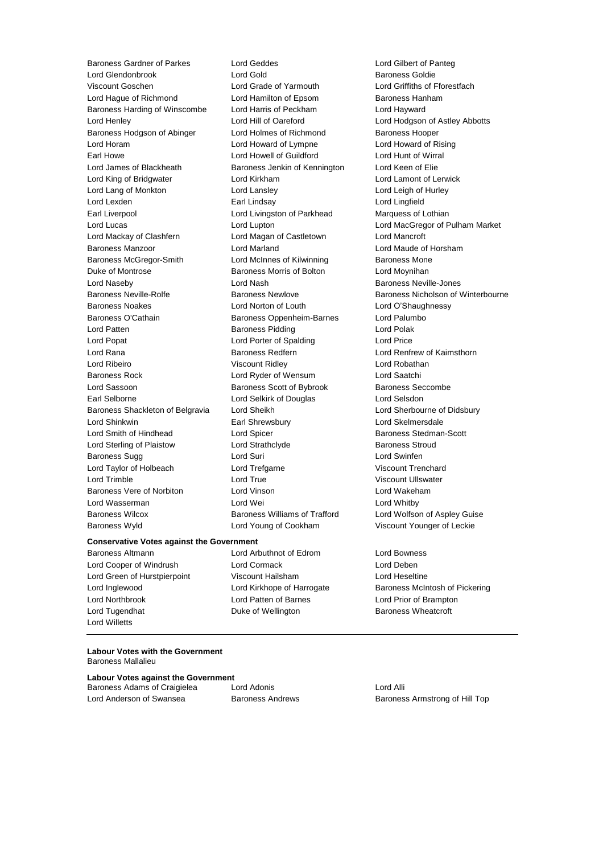Baroness Gardner of Parkes Lord Geddes **Lord General Constant Constant Constant** Lord Gilbert of Panteg<br>
Lord Gold Lord Gold **Baroness Goldie** Viscount Goschen Lord Grade of Yarmouth Lord Griffiths of Fforestfach Lord Hague of Richmond Lord Hamilton of Epsom Baroness Hanham Baroness Harding of Winscombe Lord Harris of Peckham Lord Hayward Lord Henley Lord Hill of Oareford Lord Hodgson of Astley Abbotts Baroness Hodgson of Abinger Lord Holmes of Richmond Baroness Hooper Lord Horam Lord Howard of Lympne Lord Howard of Rising Earl Howe Lord Howell of Guildford Lord Hunt of Wirral Lord James of Blackheath Baroness Jenkin of Kennington Lord Keen of Elie Lord King of Bridgwater Lord Kirkham Lord Lamont of Lerwick Lord Lang of Monkton Lord Lansley Lord Leigh of Hurley Lord Lexden Earl Lindsay Lord Lingfield Earl Liverpool **Lord Livingston of Parkhead** Marquess of Lothian Lord Lucas Lord Lupton Lord MacGregor of Pulham Market Lord Mackay of Clashfern Lord Magan of Castletown Lord Mancroft Baroness Manzoor Lord Marland Lord Maude of Horsham Baroness McGregor-Smith Lord McInnes of Kilwinning Baroness Mone Duke of Montrose **Baroness Morris of Bolton** Lord Moynihan Lord Naseby **Lord Nash Baroness Neville-Jones** Lord Nash Baroness Neville-Jones Baroness Noakes Lord Norton of Louth Lord O'Shaughnessy Baroness O'Cathain **Baroness Oppenheim-Barnes** Lord Palumbo Lord Patten **Baroness Pidding Baroness Pidding Lord Polak** Lord Popat Lord Porter of Spalding Lord Price Lord Rana **Baroness Redfern Baroness Redfern Lord Renfrew of Kaimsthorn** Lord Ribeiro Viscount Ridley Lord Robathan Baroness Rock Lord Ryder of Wensum Lord Saatchi Lord Sassoon **Baroness Scott of Bybrook** Baroness Seccombe Earl Selborne Lord Selkirk of Douglas Lord Selsdon Baroness Shackleton of Belgravia Lord Sheikh Lord Sherbourne of Didsbury Lord Shinkwin Earl Shrewsbury Lord Skelmersdale Lord Smith of Hindhead Lord Spicer Baroness Stedman-Scott Lord Sterling of Plaistow Lord Strathclyde Baroness Stroud Baroness Sugg **Lord Suri Lord Suri Lord Swinfen** Lord Taylor of Holbeach Lord Trefgarne Viscount Trenchard Lord Trimble Lord True Viscount Ullswater Baroness Vere of Norbiton **Lord Vinson** Lord Wakeham Lord Wasserman **Lord Wei** Lord Wei **Lord Whitby** Baroness Wilcox Baroness Williams of Trafford Lord Wolfson of Aspley Guise Baroness Wyld Lord Young of Cookham Viscount Younger of Leckie

Lord Gold **Baroness** Goldie

#### **Conservative Votes against the Government**

Baroness Altmann Lord Arbuthnot of Edrom Lord Bowness Lord Cooper of Windrush Lord Cormack Lord Deben Lord Green of Hurstpierpoint Viscount Hailsham Lord Heseltine Lord Northbrook Lord Patten of Barnes Lord Prior of Brampton Lord Tugendhat **Duke of Wellington** Baroness Wheatcroft Lord Willetts

Baroness Neville-Rolfe **Baroness Newlove** Baroness Newlove Baroness Nicholson of Winterbourne

Lord Inglewood Lord Kirkhope of Harrogate Baroness McIntosh of Pickering

### **Labour Votes with the Government**

Baroness Mallalieu

### **Labour Votes against the Government**<br>Baroness Adams of Craigielea **Lord Adonis**

Baroness Adams of Craigielea Lord Adonis Cord Alli Lord Anderson of Swansea **Baroness Andrews** Baroness Armstrong of Hill Top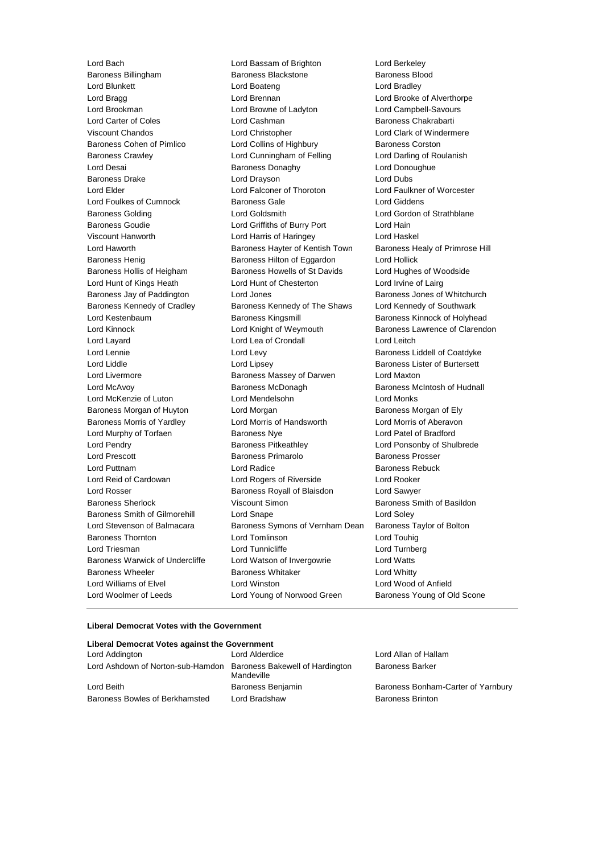Lord Bach Lord Bassam of Brighton Lord Berkeley Baroness Kennedy of Cradley Baroness Kennedy of The Shaws Lord Woolmer of Leeds Lord Young of Norwood Green Baroness Young of Old Scone

Baroness Billingham Baroness Blackstone Baroness Blood Lord Blunkett Lord Boateng Lord Bradley Lord Bragg **Lord Brennan** Lord Brennan **Lord Brooke of Alverthorpe** Lord Brookman Lord Browne of Ladyton Lord Campbell-Savours Lord Carter of Coles Lord Cashman Baroness Chakrabarti Viscount Chandos Lord Christopher Lord Clark of Windermere Baroness Cohen of Pimlico **Lord Collins of Highbury** Baroness Corston Baroness Crawley **Lord Cunningham of Felling** Lord Darling of Roulanish Lord Desai **Baroness Donaghy** Lord Donoughue Baroness Drake Lord Drayson Lord Dubs Lord Elder Lord Falconer of Thoroton Lord Faulkner of Worcester Lord Foulkes of Cumnock Baroness Gale Lord Giddens Baroness Golding **Lord Goldsmith** Lord Gordon of Strathblane Baroness Goudie Lord Griffiths of Burry Port Lord Hain Viscount Hanworth Lord Harris of Haringey Lord Haskel Lord Haworth **Baroness Hayter of Kentish Town** Baroness Healy of Primrose Hill Baroness Henig **Baroness Hilton of Eggardon** Lord Hollick Baroness Hollis of Heigham Baroness Howells of St Davids Lord Hughes of Woodside Lord Hunt of Kings Heath **Lord Hunt of Chesterton** Lord Irvine of Lairg Baroness Jay of Paddington Lord Jones<br>
Baroness Kennedy of Cradley Baroness Kennedy of The Shaws Lord Kennedy of Southwark Lord Kestenbaum Baroness Kingsmill Baroness Kinnock of Holyhead Lord Kinnock **Lord Knight of Weymouth** Baroness Lawrence of Clarendon Lord Layard **Lord Lea of Crondall** Lord Leitch Lord Lennie Lord Levy Baroness Liddell of Coatdyke Lord Liddle **Lord Lipsey** Lord Lipsey **Baroness Lister of Burtersett** Lord Livermore Baroness Massey of Darwen Lord Maxton Lord McAvoy **Baroness McDonagh** Baroness McDonagh Baroness McIntosh of Hudnall Lord McKenzie of Luton Lord Mendelsohn Lord Monks Baroness Morgan of Huyton **Lord Morgan Communist Communist Communist** Baroness Morgan of Ely Baroness Morris of Yardley Lord Morris of Handsworth Lord Morris of Aberavon Lord Murphy of Torfaen Baroness Nye Lord Patel of Bradford Lord Pendry Baroness Pitkeathley Lord Ponsonby of Shulbrede Lord Prescott Baroness Primarolo Baroness Prosser Lord Puttnam **Lord Radice Baroness Rebuck** Lord Radice **Baroness Rebuck** Lord Reid of Cardowan Lord Rogers of Riverside Lord Rooker Lord Rosser Baroness Royall of Blaisdon Lord Sawyer Baroness Sherlock **Viscount Simon** Baroness Smith of Basildon Baroness Smith of Basildon Baroness Smith of Gilmorehill Lord Snape Lord Soley Lord Stevenson of Balmacara Baroness Symons of Vernham Dean Baroness Taylor of Bolton Baroness Thornton Lord Tomlinson Lord Touhig Lord Triesman **Lord Tunnicliffe** Lord Tunnicliffe Lord Turnberg Baroness Warwick of Undercliffe Lord Watson of Invergowrie Lord Watts Baroness Wheeler **Baroness Whitaker** Lord Whitty Lord Williams of Elvel Lord Winston Lord Wood of Anfield

#### **Liberal Democrat Votes with the Government**

#### **Liberal Democrat Votes against the Government**

| Lord Addington                                                    | Lord Alderdice    | Lord Allan of Hallam               |
|-------------------------------------------------------------------|-------------------|------------------------------------|
| Lord Ashdown of Norton-sub-Hamdon Baroness Bakewell of Hardington | Mandeville        | <b>Baroness Barker</b>             |
| Lord Beith                                                        | Baroness Benjamin | Baroness Bonham-Carter of Yarnbury |
| Baroness Bowles of Berkhamsted                                    | Lord Bradshaw     | <b>Baroness Brinton</b>            |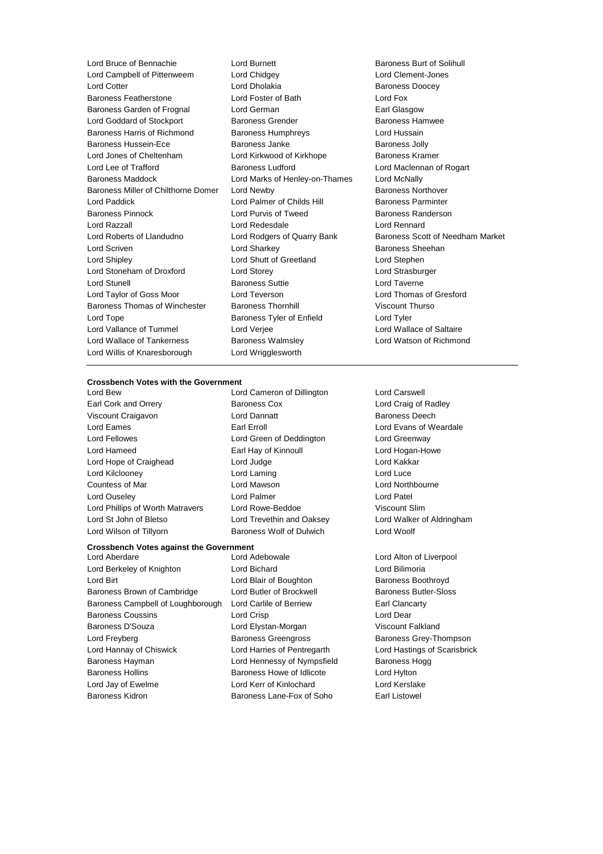Lord Campbell of Pittenweem Lord Chidgey Lord Clement-Jones **Lord Cotter Lord Dholakia** Baroness Doocey Baroness Featherstone Lord Foster of Bath Lord Fox Baroness Garden of Frognal Lord German **Earl Glasgow** Earl Glasgow Lord Goddard of Stockport **Baroness Grender** Baroness Hamwee Baroness Harris of Richmond Baroness Humphreys Lord Hussain Baroness Hussein-Ece **Baroness** Janke Baroness Janke Baroness Jolly Lord Jones of Cheltenham Lord Kirkwood of Kirkhope Baroness Kramer Lord Lee of Trafford **Baroness Ludford** Baroness Ludford Lord Maclennan of Rogart Baroness Maddock Lord Marks of Henley-on-Thames Lord McNally Baroness Miller of Chilthorne Domer Lord Newby **Baroness Northover** Baroness Northover Lord Paddick Lord Palmer of Childs Hill Baroness Parminter Baroness Pinnock **Lord Purvis of Tweed** Baroness Randerson Lord Razzall Lord Redesdale Lord Rennard Lord Roberts of Llandudno Lord Rodgers of Quarry Bank Baroness Scott of Needham Market Lord Scriven Lord Sharkey Baroness Sheehan Lord Shipley Lord Shutt of Greetland Lord Stephen Lord Stoneham of Droxford Lord Storey Lord Strasburger Lord Stunell Baroness Suttie Lord Taverne Lord Taylor of Goss Moor Lord Teverson Lord Thomas of Gresford Baroness Thomas of Winchester Baroness Thornhill Viscount Thurso Lord Tope **Baroness Tyler of Enfield** Lord Tyler Lord Vallance of Tummel Lord Verjee Lord Versee Lord Wallace of Saltaire Lord Wallace of Tankerness Baroness Walmsley Lord Watson of Richmond Lord Willis of Knaresborough Lord Wrigglesworth

Lord Bruce of Bennachie **Lord Burnett** Lord Burnett Baroness Burt of Solihull<br>
Lord Campbell of Pittenweem Lord Chidgev **Lord Clement-Lones** 

## **Crossbench Votes with the Government**

Earl Cork and Orrery **Baroness Cox** Lord Craig of Radley Viscount Craigavon **Lord Dannatt Baroness Deech** Lord Eames **Earl Erroll** Earl Erroll **Example 20** Lord Evans of Weardale Lord Fellowes Lord Green of Deddington Lord Greenway Lord Hameed Earl Hay of Kinnoull Lord Hogan-Howe Lord Hope of Craighead Lord Judge Lord Kakkar Lord Kilclooney Lord Laming Lord Luce Countess of Mar Lord Mawson Lord Northbourne Lord Ouseley Lord Palmer Lord Patel Lord Phillips of Worth Matravers Lord Rowe-Beddoe Viscount Slim Lord St John of Bletso Lord Trevethin and Oaksey Lord Walker of Aldringham

Lord Cameron of Dillington Lord Carswell

#### **Crossbench Votes against the Government**

Lord Aberdare Lord Adebowale Lord Alton of Liverpool Lord Berkeley of Knighton Lord Bichard Lord Bilimoria Lord Birt **Lord Blair of Boughton** Baroness Boothroyd Baroness Brown of Cambridge Lord Butler of Brockwell Baroness Butler-Sloss Baroness Campbell of Loughborough Lord Carlile of Berriew Earl Clancarty Baroness Coussins **Lord Crisp** Lord Crisp **Lord Dear** Baroness D'Souza Lord Elystan-Morgan Viscount Falkland Lord Freyberg Baroness Greengross Baroness Grey-Thompson Lord Hannay of Chiswick Lord Harries of Pentregarth Lord Hastings of Scarisbrick Baroness Hayman **Example 2** Lord Hennessy of Nympsfield Baroness Hogg Baroness Hollins Baroness Howe of Idlicote Lord Hylton Lord Jay of Ewelme Lord Kerr of Kinlochard Lord Kerslake Baroness Kidron Baroness Lane-Fox of Soho Earl Listowel

Lord Wilson of Tillyorn Baroness Wolf of Dulwich Lord Woolf